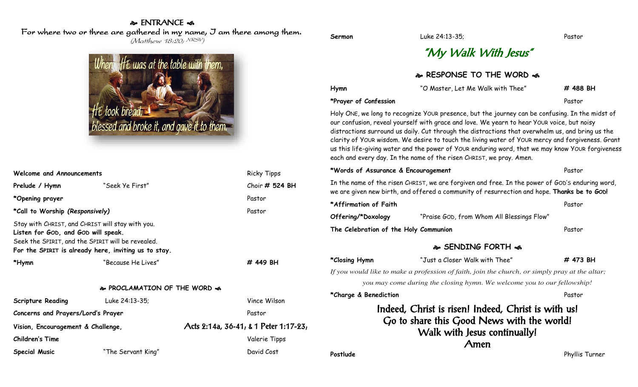#### & ENTRANCE < For where two or three are gathered in my name, I am there among them. (Matthew 18:20; NRSV)

When If t was at the table with them, took bread. blessed and broke it, and gave it to them.

| Welcome and Announcements                                                                                                                                                                            |                    | <b>Ricky Tipps</b>                    |  |  |  |
|------------------------------------------------------------------------------------------------------------------------------------------------------------------------------------------------------|--------------------|---------------------------------------|--|--|--|
| Prelude / Hymn                                                                                                                                                                                       | "Seek Ye First"    | Choir # 524 BH                        |  |  |  |
| *Opening prayer                                                                                                                                                                                      |                    | Pastor                                |  |  |  |
| *Call to Worship (Responsively)                                                                                                                                                                      |                    | Pastor                                |  |  |  |
| Stay with CHRIST, and CHRIST will stay with you.<br>Listen for GOD, and GOD will speak.<br>Seek the SPIRIT, and the SPIRIT will be revealed.<br>For the SPIRIT is already here, inviting us to stay. |                    |                                       |  |  |  |
| *Hymn                                                                                                                                                                                                | "Because He Lives" | # 449 BH                              |  |  |  |
| & PROCLAMATION OF THE WORD &                                                                                                                                                                         |                    |                                       |  |  |  |
| <b>Scripture Reading</b>                                                                                                                                                                             | Luke 24:13-35;     | Vince Wilson                          |  |  |  |
| Concerns and Prayers/Lord's Prayer                                                                                                                                                                   |                    | Pastor                                |  |  |  |
| Vision, Encouragement & Challenge,                                                                                                                                                                   |                    | Acts 2:14a, 36-41, & 1 Peter 1:17-23, |  |  |  |
| <b>Children's Time</b>                                                                                                                                                                               |                    | Valerie Tipps                         |  |  |  |
| <b>Special Music</b>                                                                                                                                                                                 | "The Servant King" | David Cost                            |  |  |  |

**Sermon** Luke 24:13-35; Pastor

## "My Walk With Jesus"

| & RESPONSE TO THE WORD &                                                                                                                                                                       |                                                                                                                                                                                                                                                                                                                                                                                                                                                                                                                                                                                  |          |  |  |
|------------------------------------------------------------------------------------------------------------------------------------------------------------------------------------------------|----------------------------------------------------------------------------------------------------------------------------------------------------------------------------------------------------------------------------------------------------------------------------------------------------------------------------------------------------------------------------------------------------------------------------------------------------------------------------------------------------------------------------------------------------------------------------------|----------|--|--|
| Hymn                                                                                                                                                                                           | "O Master, Let Me Walk with Thee"                                                                                                                                                                                                                                                                                                                                                                                                                                                                                                                                                | # 488 BH |  |  |
| *Prayer of Confession                                                                                                                                                                          |                                                                                                                                                                                                                                                                                                                                                                                                                                                                                                                                                                                  | Pastor   |  |  |
|                                                                                                                                                                                                | Holy ONE, we long to recognize YOUR presence, but the journey can be confusing. In the midst of<br>our confusion, reveal yourself with grace and love. We yearn to hear YOUR voice, but noisy<br>distractions surround us daily. Cut through the distractions that overwhelm us, and bring us the<br>clarity of YOUR wisdom. We desire to touch the living water of YOUR mercy and forgiveness. Grant<br>us this life-giving water and the power of YOUR enduring word, that we may know YOUR forgiveness<br>each and every day. In the name of the risen CHRIST, we pray. Amen. |          |  |  |
| *Words of Assurance & Encouragement                                                                                                                                                            |                                                                                                                                                                                                                                                                                                                                                                                                                                                                                                                                                                                  | Pastor   |  |  |
| In the name of the risen CHRIST, we are forgiven and free. In the power of GOD's enduring word,<br>we are given new birth, and offered a community of resurrection and hope. Thanks be to GOD! |                                                                                                                                                                                                                                                                                                                                                                                                                                                                                                                                                                                  |          |  |  |
| *Affirmation of Faith                                                                                                                                                                          |                                                                                                                                                                                                                                                                                                                                                                                                                                                                                                                                                                                  | Pastor   |  |  |
| Offering/*Doxology                                                                                                                                                                             | "Praise GOD, from Whom All Blessings Flow"                                                                                                                                                                                                                                                                                                                                                                                                                                                                                                                                       |          |  |  |
| The Celebration of the Holy Communion                                                                                                                                                          |                                                                                                                                                                                                                                                                                                                                                                                                                                                                                                                                                                                  | Pastor   |  |  |
| � SENDING FORTH �                                                                                                                                                                              |                                                                                                                                                                                                                                                                                                                                                                                                                                                                                                                                                                                  |          |  |  |
| *Closing Hymn                                                                                                                                                                                  | "Just a Closer Walk with Thee"                                                                                                                                                                                                                                                                                                                                                                                                                                                                                                                                                   | # 473 BH |  |  |
| If you would like to make a profession of faith, join the church, or simply pray at the altar;                                                                                                 |                                                                                                                                                                                                                                                                                                                                                                                                                                                                                                                                                                                  |          |  |  |
|                                                                                                                                                                                                | you may come during the closing hymn. We welcome you to our fellowship!                                                                                                                                                                                                                                                                                                                                                                                                                                                                                                          |          |  |  |
| *Charge & Benediction                                                                                                                                                                          |                                                                                                                                                                                                                                                                                                                                                                                                                                                                                                                                                                                  | Pastor   |  |  |
|                                                                                                                                                                                                | Indeed, Christ is risen! Indeed, Christ is with us!<br>Go to share this Good News with the world!<br>Walk with Jesus continually!                                                                                                                                                                                                                                                                                                                                                                                                                                                |          |  |  |

Amen